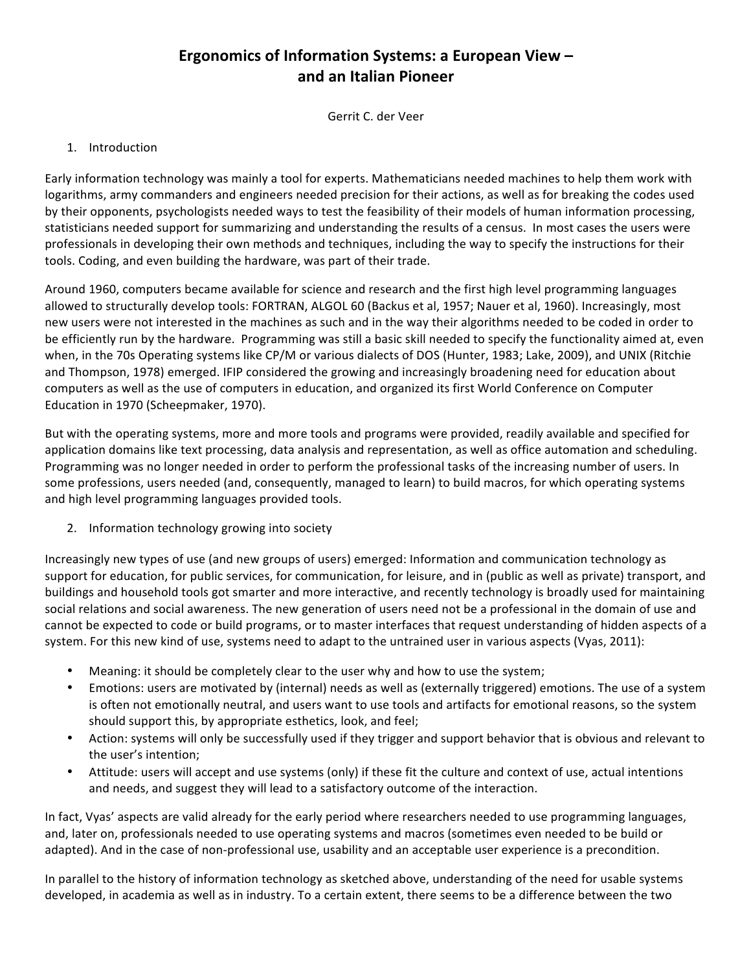## **Ergonomics of Information Systems: a European View and an Italian Pioneer**

Gerrit C. der Veer

## 1. Introduction

Early information technology was mainly a tool for experts. Mathematicians needed machines to help them work with logarithms, army commanders and engineers needed precision for their actions, as well as for breaking the codes used by their opponents, psychologists needed ways to test the feasibility of their models of human information processing, statisticians needed support for summarizing and understanding the results of a census. In most cases the users were professionals in developing their own methods and techniques, including the way to specify the instructions for their tools. Coding, and even building the hardware, was part of their trade.

Around 1960, computers became available for science and research and the first high level programming languages allowed to structurally develop tools: FORTRAN, ALGOL 60 (Backus et al, 1957; Nauer et al, 1960). Increasingly, most new users were not interested in the machines as such and in the way their algorithms needed to be coded in order to be efficiently run by the hardware. Programming was still a basic skill needed to specify the functionality aimed at, even when, in the 70s Operating systems like CP/M or various dialects of DOS (Hunter, 1983; Lake, 2009), and UNIX (Ritchie and Thompson, 1978) emerged. IFIP considered the growing and increasingly broadening need for education about computers as well as the use of computers in education, and organized its first World Conference on Computer Education in 1970 (Scheepmaker, 1970).

But with the operating systems, more and more tools and programs were provided, readily available and specified for application domains like text processing, data analysis and representation, as well as office automation and scheduling. Programming was no longer needed in order to perform the professional tasks of the increasing number of users. In some professions, users needed (and, consequently, managed to learn) to build macros, for which operating systems and high level programming languages provided tools.

2. Information technology growing into society

Increasingly new types of use (and new groups of users) emerged: Information and communication technology as support for education, for public services, for communication, for leisure, and in (public as well as private) transport, and buildings and household tools got smarter and more interactive, and recently technology is broadly used for maintaining social relations and social awareness. The new generation of users need not be a professional in the domain of use and cannot be expected to code or build programs, or to master interfaces that request understanding of hidden aspects of a system. For this new kind of use, systems need to adapt to the untrained user in various aspects (Vyas, 2011):

- Meaning: it should be completely clear to the user why and how to use the system;
- Emotions: users are motivated by (internal) needs as well as (externally triggered) emotions. The use of a system is often not emotionally neutral, and users want to use tools and artifacts for emotional reasons, so the system should support this, by appropriate esthetics, look, and feel;
- Action: systems will only be successfully used if they trigger and support behavior that is obvious and relevant to the user's intention;
- Attitude: users will accept and use systems (only) if these fit the culture and context of use, actual intentions and needs, and suggest they will lead to a satisfactory outcome of the interaction.

In fact, Vyas' aspects are valid already for the early period where researchers needed to use programming languages, and, later on, professionals needed to use operating systems and macros (sometimes even needed to be build or adapted). And in the case of non-professional use, usability and an acceptable user experience is a precondition.

In parallel to the history of information technology as sketched above, understanding of the need for usable systems developed, in academia as well as in industry. To a certain extent, there seems to be a difference between the two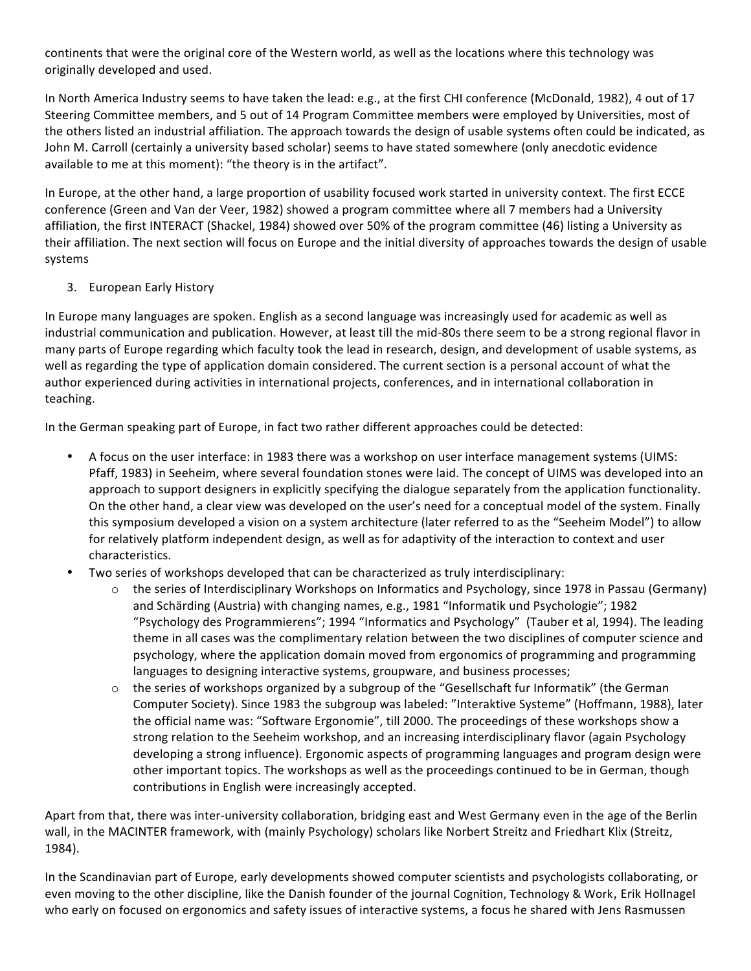continents that were the original core of the Western world, as well as the locations where this technology was originally developed and used.

In North America Industry seems to have taken the lead: e.g., at the first CHI conference (McDonald, 1982), 4 out of 17 Steering Committee members, and 5 out of 14 Program Committee members were employed by Universities, most of the others listed an industrial affiliation. The approach towards the design of usable systems often could be indicated, as John M. Carroll (certainly a university based scholar) seems to have stated somewhere (only anecdotic evidence available to me at this moment): "the theory is in the artifact".

In Europe, at the other hand, a large proportion of usability focused work started in university context. The first ECCE conference (Green and Van der Veer, 1982) showed a program committee where all 7 members had a University affiliation, the first INTERACT (Shackel, 1984) showed over 50% of the program committee (46) listing a University as their affiliation. The next section will focus on Europe and the initial diversity of approaches towards the design of usable systems

## 3. European Early History

In Europe many languages are spoken. English as a second language was increasingly used for academic as well as industrial communication and publication. However, at least till the mid-80s there seem to be a strong regional flavor in many parts of Europe regarding which faculty took the lead in research, design, and development of usable systems, as well as regarding the type of application domain considered. The current section is a personal account of what the author experienced during activities in international projects, conferences, and in international collaboration in teaching. 

In the German speaking part of Europe, in fact two rather different approaches could be detected:

- A focus on the user interface: in 1983 there was a workshop on user interface management systems (UIMS: Pfaff, 1983) in Seeheim, where several foundation stones were laid. The concept of UIMS was developed into an approach to support designers in explicitly specifying the dialogue separately from the application functionality. On the other hand, a clear view was developed on the user's need for a conceptual model of the system. Finally this symposium developed a vision on a system architecture (later referred to as the "Seeheim Model") to allow for relatively platform independent design, as well as for adaptivity of the interaction to context and user characteristics.
- Two series of workshops developed that can be characterized as truly interdisciplinary:
	- $\circ$  the series of Interdisciplinary Workshops on Informatics and Psychology, since 1978 in Passau (Germany) and Schärding (Austria) with changing names, e.g., 1981 "Informatik und Psychologie"; 1982 "Psychology des Programmierens"; 1994 "Informatics and Psychology" (Tauber et al, 1994). The leading theme in all cases was the complimentary relation between the two disciplines of computer science and psychology, where the application domain moved from ergonomics of programming and programming languages to designing interactive systems, groupware, and business processes;
	- $\circ$  the series of workshops organized by a subgroup of the "Gesellschaft fur Informatik" (the German Computer Society). Since 1983 the subgroup was labeled: "Interaktive Systeme" (Hoffmann, 1988), later the official name was: "Software Ergonomie", till 2000. The proceedings of these workshops show a strong relation to the Seeheim workshop, and an increasing interdisciplinary flavor (again Psychology developing a strong influence). Ergonomic aspects of programming languages and program design were other important topics. The workshops as well as the proceedings continued to be in German, though contributions in English were increasingly accepted.

Apart from that, there was inter-university collaboration, bridging east and West Germany even in the age of the Berlin wall, in the MACINTER framework, with (mainly Psychology) scholars like Norbert Streitz and Friedhart Klix (Streitz, 1984).

In the Scandinavian part of Europe, early developments showed computer scientists and psychologists collaborating, or even moving to the other discipline, like the Danish founder of the journal Cognition, Technology & Work, Erik Hollnagel who early on focused on ergonomics and safety issues of interactive systems, a focus he shared with Jens Rasmussen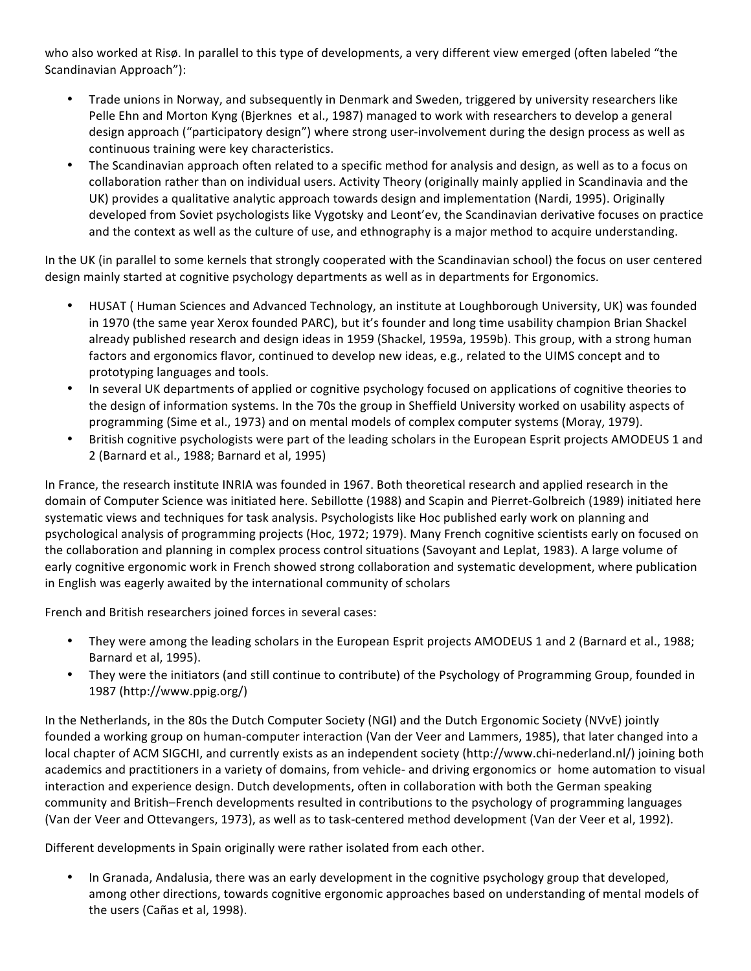who also worked at Risø. In parallel to this type of developments, a very different view emerged (often labeled "the Scandinavian Approach"):

- Trade unions in Norway, and subsequently in Denmark and Sweden, triggered by university researchers like Pelle Ehn and Morton Kyng (Bjerknes et al., 1987) managed to work with researchers to develop a general design approach ("participatory design") where strong user-involvement during the design process as well as continuous training were key characteristics.
- The Scandinavian approach often related to a specific method for analysis and design, as well as to a focus on collaboration rather than on individual users. Activity Theory (originally mainly applied in Scandinavia and the UK) provides a qualitative analytic approach towards design and implementation (Nardi, 1995). Originally developed from Soviet psychologists like Vygotsky and Leont'ev, the Scandinavian derivative focuses on practice and the context as well as the culture of use, and ethnography is a major method to acquire understanding.

In the UK (in parallel to some kernels that strongly cooperated with the Scandinavian school) the focus on user centered design mainly started at cognitive psychology departments as well as in departments for Ergonomics.

- HUSAT ( Human Sciences and Advanced Technology, an institute at Loughborough University, UK) was founded in 1970 (the same year Xerox founded PARC), but it's founder and long time usability champion Brian Shackel already published research and design ideas in 1959 (Shackel, 1959a, 1959b). This group, with a strong human factors and ergonomics flavor, continued to develop new ideas, e.g., related to the UIMS concept and to prototyping languages and tools.
- In several UK departments of applied or cognitive psychology focused on applications of cognitive theories to the design of information systems. In the 70s the group in Sheffield University worked on usability aspects of programming (Sime et al., 1973) and on mental models of complex computer systems (Moray, 1979).
- British cognitive psychologists were part of the leading scholars in the European Esprit projects AMODEUS 1 and 2 (Barnard et al., 1988; Barnard et al, 1995)

In France, the research institute INRIA was founded in 1967. Both theoretical research and applied research in the domain of Computer Science was initiated here. Sebillotte (1988) and Scapin and Pierret-Golbreich (1989) initiated here systematic views and techniques for task analysis. Psychologists like Hoc published early work on planning and psychological analysis of programming projects (Hoc, 1972; 1979). Many French cognitive scientists early on focused on the collaboration and planning in complex process control situations (Savoyant and Leplat, 1983). A large volume of early cognitive ergonomic work in French showed strong collaboration and systematic development, where publication in English was eagerly awaited by the international community of scholars

French and British researchers joined forces in several cases:

- They were among the leading scholars in the European Esprit projects AMODEUS 1 and 2 (Barnard et al., 1988; Barnard et al, 1995).
- They were the initiators (and still continue to contribute) of the Psychology of Programming Group, founded in 1987 (http://www.ppig.org/)

In the Netherlands, in the 80s the Dutch Computer Society (NGI) and the Dutch Ergonomic Society (NVvE) jointly founded a working group on human-computer interaction (Van der Veer and Lammers, 1985), that later changed into a local chapter of ACM SIGCHI, and currently exists as an independent society (http://www.chi-nederland.nl/) joining both academics and practitioners in a variety of domains, from vehicle- and driving ergonomics or home automation to visual interaction and experience design. Dutch developments, often in collaboration with both the German speaking community and British–French developments resulted in contributions to the psychology of programming languages (Van der Veer and Ottevangers, 1973), as well as to task-centered method development (Van der Veer et al, 1992).

Different developments in Spain originally were rather isolated from each other.

In Granada, Andalusia, there was an early development in the cognitive psychology group that developed, among other directions, towards cognitive ergonomic approaches based on understanding of mental models of the users (Cañas et al, 1998).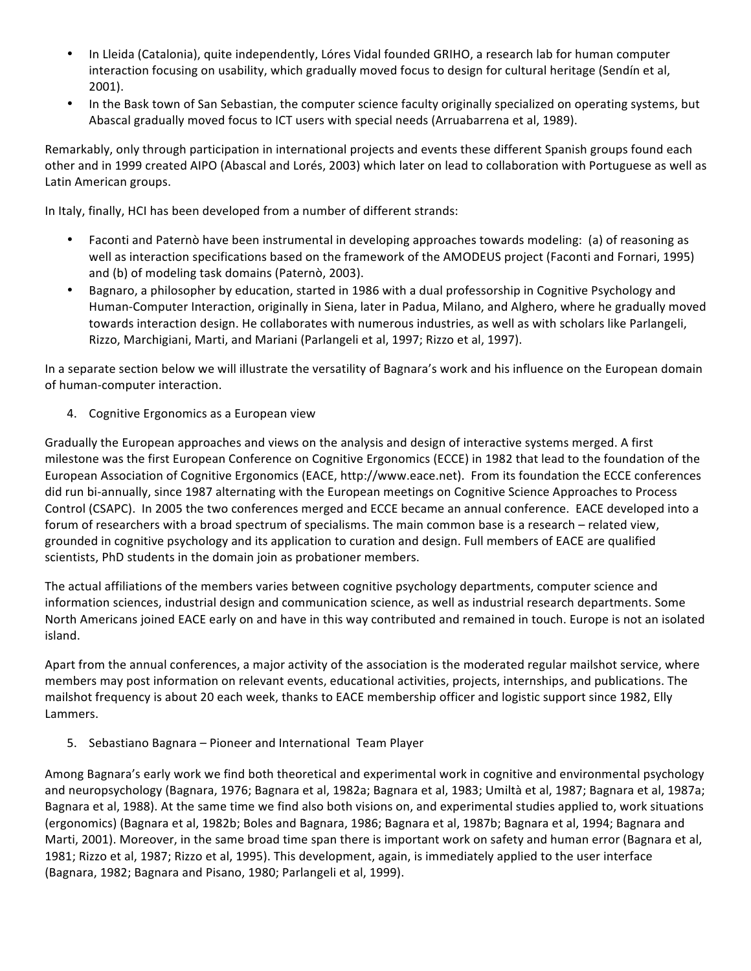- In Lleida (Catalonia), quite independently, Lóres Vidal founded GRIHO, a research lab for human computer interaction focusing on usability, which gradually moved focus to design for cultural heritage (Sendín et al, 2001).
- In the Bask town of San Sebastian, the computer science faculty originally specialized on operating systems, but Abascal gradually moved focus to ICT users with special needs (Arruabarrena et al, 1989).

Remarkably, only through participation in international projects and events these different Spanish groups found each other and in 1999 created AIPO (Abascal and Lorés, 2003) which later on lead to collaboration with Portuguese as well as Latin American groups.

In Italy, finally, HCI has been developed from a number of different strands:

- Faconti and Paternò have been instrumental in developing approaches towards modeling: (a) of reasoning as well as interaction specifications based on the framework of the AMODEUS project (Faconti and Fornari, 1995) and (b) of modeling task domains (Paternò, 2003).
- Bagnaro, a philosopher by education, started in 1986 with a dual professorship in Cognitive Psychology and Human-Computer Interaction, originally in Siena, later in Padua, Milano, and Alghero, where he gradually moved towards interaction design. He collaborates with numerous industries, as well as with scholars like Parlangeli, Rizzo, Marchigiani, Marti, and Mariani (Parlangeli et al, 1997; Rizzo et al, 1997).

In a separate section below we will illustrate the versatility of Bagnara's work and his influence on the European domain of human-computer interaction.

4. Cognitive Ergonomics as a European view

Gradually the European approaches and views on the analysis and design of interactive systems merged. A first milestone was the first European Conference on Cognitive Ergonomics (ECCE) in 1982 that lead to the foundation of the European Association of Cognitive Ergonomics (EACE, http://www.eace.net). From its foundation the ECCE conferences did run bi-annually, since 1987 alternating with the European meetings on Cognitive Science Approaches to Process Control (CSAPC). In 2005 the two conferences merged and ECCE became an annual conference. EACE developed into a forum of researchers with a broad spectrum of specialisms. The main common base is a research – related view, grounded in cognitive psychology and its application to curation and design. Full members of EACE are qualified scientists, PhD students in the domain join as probationer members.

The actual affiliations of the members varies between cognitive psychology departments, computer science and information sciences, industrial design and communication science, as well as industrial research departments. Some North Americans joined EACE early on and have in this way contributed and remained in touch. Europe is not an isolated island.

Apart from the annual conferences, a major activity of the association is the moderated regular mailshot service, where members may post information on relevant events, educational activities, projects, internships, and publications. The mailshot frequency is about 20 each week, thanks to EACE membership officer and logistic support since 1982, Elly Lammers.

5. Sebastiano Bagnara – Pioneer and International Team Player

Among Bagnara's early work we find both theoretical and experimental work in cognitive and environmental psychology and neuropsychology (Bagnara, 1976; Bagnara et al, 1982a; Bagnara et al, 1983; Umiltà et al, 1987; Bagnara et al, 1987a; Bagnara et al, 1988). At the same time we find also both visions on, and experimental studies applied to, work situations (ergonomics) (Bagnara et al, 1982b; Boles and Bagnara, 1986; Bagnara et al, 1987b; Bagnara et al, 1994; Bagnara and Marti, 2001). Moreover, in the same broad time span there is important work on safety and human error (Bagnara et al, 1981; Rizzo et al, 1987; Rizzo et al, 1995). This development, again, is immediately applied to the user interface (Bagnara, 1982; Bagnara and Pisano, 1980; Parlangeli et al, 1999).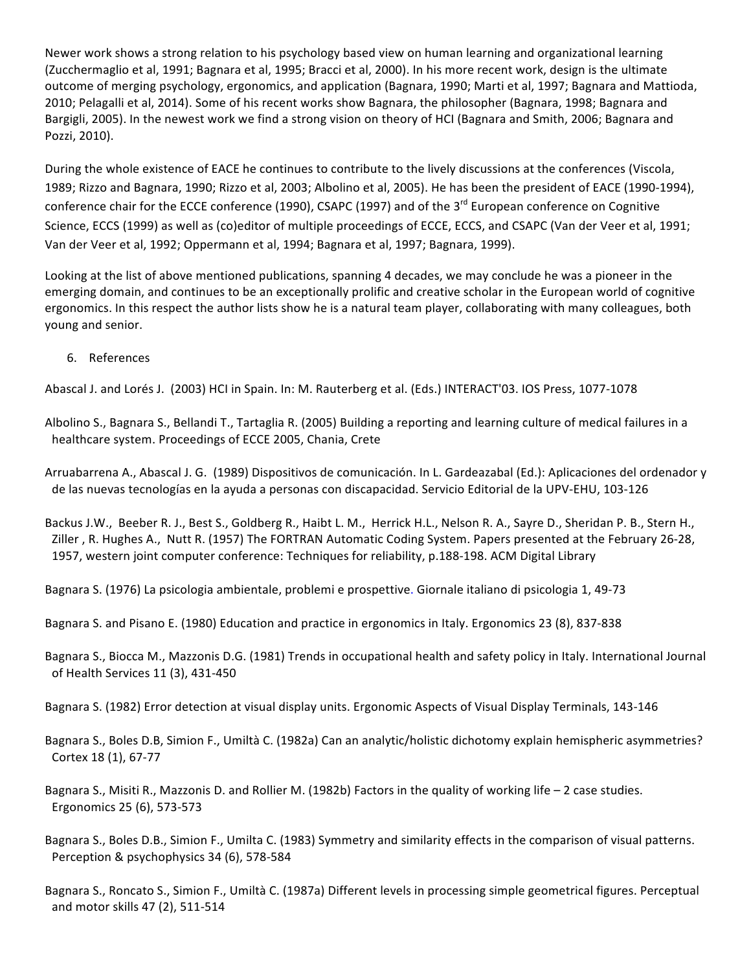Newer work shows a strong relation to his psychology based view on human learning and organizational learning (Zucchermaglio et al, 1991; Bagnara et al, 1995; Bracci et al, 2000). In his more recent work, design is the ultimate outcome of merging psychology, ergonomics, and application (Bagnara, 1990; Marti et al, 1997; Bagnara and Mattioda, 2010; Pelagalli et al, 2014). Some of his recent works show Bagnara, the philosopher (Bagnara, 1998; Bagnara and Bargigli, 2005). In the newest work we find a strong vision on theory of HCI (Bagnara and Smith, 2006; Bagnara and Pozzi, 2010).

During the whole existence of EACE he continues to contribute to the lively discussions at the conferences (Viscola, 1989; Rizzo and Bagnara, 1990; Rizzo et al, 2003; Albolino et al, 2005). He has been the president of EACE (1990-1994), conference chair for the ECCE conference (1990), CSAPC (1997) and of the 3<sup>rd</sup> European conference on Cognitive Science, ECCS (1999) as well as (co)editor of multiple proceedings of ECCE, ECCS, and CSAPC (Van der Veer et al, 1991; Van der Veer et al, 1992; Oppermann et al, 1994; Bagnara et al, 1997; Bagnara, 1999).

Looking at the list of above mentioned publications, spanning 4 decades, we may conclude he was a pioneer in the emerging domain, and continues to be an exceptionally prolific and creative scholar in the European world of cognitive ergonomics. In this respect the author lists show he is a natural team player, collaborating with many colleagues, both young and senior.

6. References

Abascal J. and Lorés J. (2003) HCI in Spain. In: M. Rauterberg et al. (Eds.) INTERACT'03. IOS Press, 1077-1078

Albolino S., Bagnara S., Bellandi T., Tartaglia R. (2005) Building a reporting and learning culture of medical failures in a healthcare system. Proceedings of ECCE 2005, Chania, Crete

Arruabarrena A., Abascal J. G. (1989) Dispositivos de comunicación. In L. Gardeazabal (Ed.): Aplicaciones del ordenador y de las nuevas tecnologías en la ayuda a personas con discapacidad. Servicio Editorial de la UPV-EHU, 103-126

Backus J.W., Beeber R. J., Best S., Goldberg R., Haibt L. M., Herrick H.L., Nelson R. A., Sayre D., Sheridan P. B., Stern H., Ziller, R. Hughes A., Nutt R. (1957) The FORTRAN Automatic Coding System. Papers presented at the February 26-28, 1957, western joint computer conference: Techniques for reliability, p.188-198. ACM Digital Library

Bagnara S. (1976) La psicologia ambientale, problemi e prospettive. Giornale italiano di psicologia 1, 49-73

Bagnara S. and Pisano E. (1980) Education and practice in ergonomics in Italy. Ergonomics 23 (8), 837-838

Bagnara S., Biocca M., Mazzonis D.G. (1981) Trends in occupational health and safety policy in Italy. International Journal of Health Services 11 (3), 431-450

Bagnara S. (1982) Error detection at visual display units. Ergonomic Aspects of Visual Display Terminals, 143-146

Bagnara S., Boles D.B, Simion F., Umiltà C. (1982a) Can an analytic/holistic dichotomy explain hemispheric asymmetries? Cortex 18 (1), 67-77

Bagnara S., Misiti R., Mazzonis D. and Rollier M. (1982b) Factors in the quality of working life  $-2$  case studies. Ergonomics 25 (6), 573-573

Bagnara S., Boles D.B., Simion F., Umilta C. (1983) Symmetry and similarity effects in the comparison of visual patterns. Perception & psychophysics 34 (6), 578-584

Bagnara S., Roncato S., Simion F., Umiltà C. (1987a) Different levels in processing simple geometrical figures. Perceptual and motor skills 47 (2), 511-514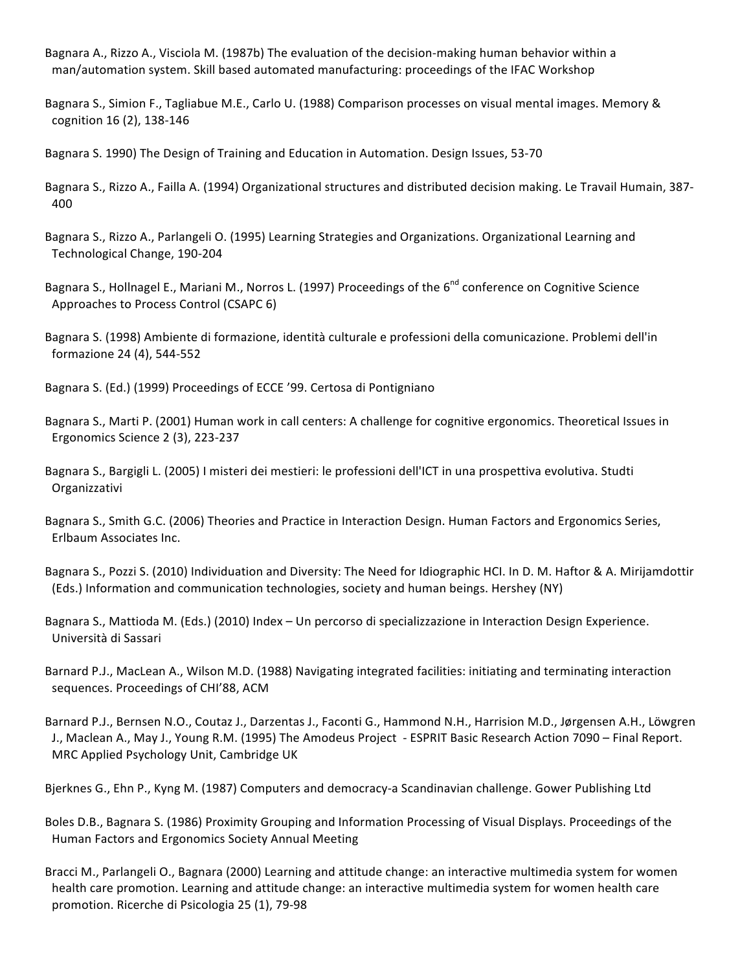Bagnara A., Rizzo A., Visciola M. (1987b) The evaluation of the decision-making human behavior within a man/automation system. Skill based automated manufacturing: proceedings of the IFAC Workshop

Bagnara S., Simion F., Tagliabue M.E., Carlo U. (1988) Comparison processes on visual mental images. Memory & cognition 16 (2), 138-146

Bagnara S. 1990) The Design of Training and Education in Automation. Design Issues, 53-70

Bagnara S., Rizzo A., Failla A. (1994) Organizational structures and distributed decision making. Le Travail Humain, 387-400

Bagnara S., Rizzo A., Parlangeli O. (1995) Learning Strategies and Organizations. Organizational Learning and Technological Change, 190-204

Bagnara S., Hollnagel E., Mariani M., Norros L. (1997) Proceedings of the 6<sup>nd</sup> conference on Cognitive Science Approaches to Process Control (CSAPC 6)

Bagnara S. (1998) Ambiente di formazione, identità culturale e professioni della comunicazione. Problemi dell'in formazione 24 (4), 544-552

Bagnara S. (Ed.) (1999) Proceedings of ECCE '99. Certosa di Pontigniano

Bagnara S., Marti P. (2001) Human work in call centers: A challenge for cognitive ergonomics. Theoretical Issues in Ergonomics Science 2 (3), 223-237

Bagnara S., Bargigli L. (2005) I misteri dei mestieri: le professioni dell'ICT in una prospettiva evolutiva. Studti Organizzativi

Bagnara S., Smith G.C. (2006) Theories and Practice in Interaction Design. Human Factors and Ergonomics Series, Erlbaum Associates Inc.

Bagnara S., Pozzi S. (2010) Individuation and Diversity: The Need for Idiographic HCI. In D. M. Haftor & A. Mirijamdottir (Eds.) Information and communication technologies, society and human beings. Hershey (NY)

Bagnara S., Mattioda M. (Eds.) (2010) Index – Un percorso di specializzazione in Interaction Design Experience. Università di Sassari

Barnard P.J., MacLean A., Wilson M.D. (1988) Navigating integrated facilities: initiating and terminating interaction sequences. Proceedings of CHI'88, ACM

Barnard P.J., Bernsen N.O., Coutaz J., Darzentas J., Faconti G., Hammond N.H., Harrision M.D., Jørgensen A.H., Löwgren J., Maclean A., May J., Young R.M. (1995) The Amodeus Project - ESPRIT Basic Research Action 7090 – Final Report. MRC Applied Psychology Unit, Cambridge UK

Bjerknes G., Ehn P., Kyng M. (1987) Computers and democracy-a Scandinavian challenge. Gower Publishing Ltd

Boles D.B., Bagnara S. (1986) Proximity Grouping and Information Processing of Visual Displays. Proceedings of the Human Factors and Ergonomics Society Annual Meeting

Bracci M., Parlangeli O., Bagnara (2000) Learning and attitude change: an interactive multimedia system for women health care promotion. Learning and attitude change: an interactive multimedia system for women health care promotion. Ricerche di Psicologia 25 (1), 79-98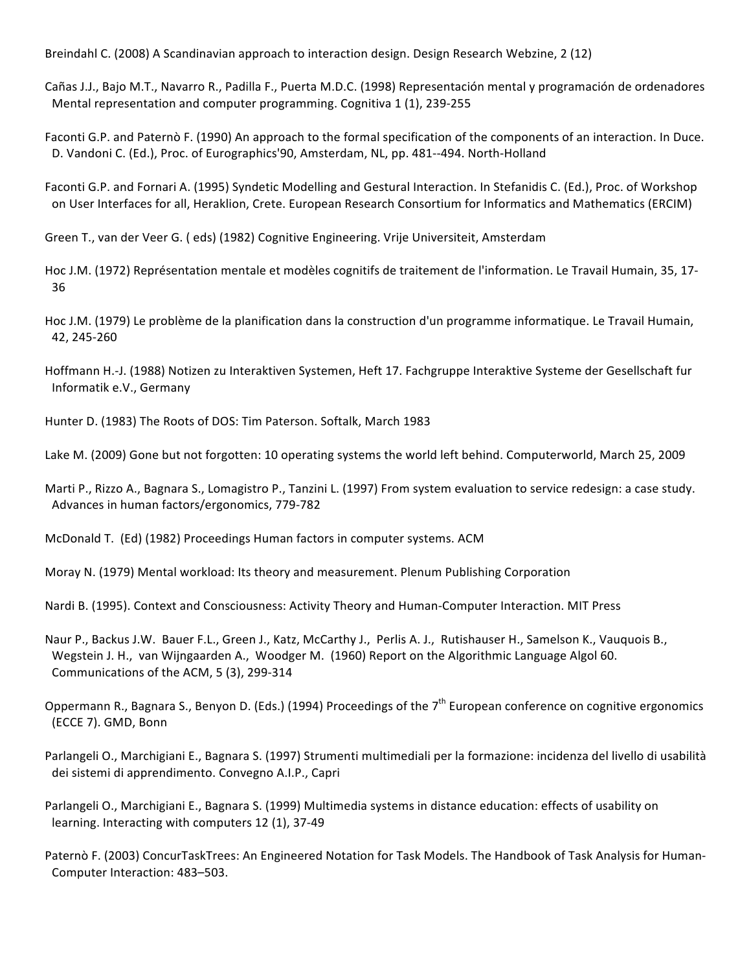Breindahl C. (2008) A Scandinavian approach to interaction design. Design Research Webzine, 2 (12)

Cañas J.J., Bajo M.T., Navarro R., Padilla F., Puerta M.D.C. (1998) Representación mental y programación de ordenadores Mental representation and computer programming. Cognitiva 1 (1), 239-255

Faconti G.P. and Paternò F. (1990) An approach to the formal specification of the components of an interaction. In Duce. D. Vandoni C. (Ed.), Proc. of Eurographics'90, Amsterdam, NL, pp. 481--494. North-Holland

Faconti G.P. and Fornari A. (1995) Syndetic Modelling and Gestural Interaction. In Stefanidis C. (Ed.), Proc. of Workshop on User Interfaces for all, Heraklion, Crete. European Research Consortium for Informatics and Mathematics (ERCIM)

Green T., van der Veer G. (eds) (1982) Cognitive Engineering. Vrije Universiteit, Amsterdam

Hoc J.M. (1972) Représentation mentale et modèles cognitifs de traitement de l'information. Le Travail Humain, 35, 17-36

Hoc J.M. (1979) Le problème de la planification dans la construction d'un programme informatique. Le Travail Humain, 42, 245-260

Hoffmann H.-J. (1988) Notizen zu Interaktiven Systemen, Heft 17. Fachgruppe Interaktive Systeme der Gesellschaft fur Informatik e.V., Germany

Hunter D. (1983) The Roots of DOS: Tim Paterson. Softalk, March 1983

Lake M. (2009) Gone but not forgotten: 10 operating systems the world left behind. Computerworld, March 25, 2009

Marti P., Rizzo A., Bagnara S., Lomagistro P., Tanzini L. (1997) From system evaluation to service redesign: a case study. Advances in human factors/ergonomics, 779-782

McDonald T. (Ed) (1982) Proceedings Human factors in computer systems. ACM

Moray N. (1979) Mental workload: Its theory and measurement. Plenum Publishing Corporation

Nardi B. (1995). Context and Consciousness: Activity Theory and Human-Computer Interaction. MIT Press

Naur P., Backus J.W. Bauer F.L., Green J., Katz, McCarthy J., Perlis A. J., Rutishauser H., Samelson K., Vauquois B., Wegstein J. H., van Wijngaarden A., Woodger M. (1960) Report on the Algorithmic Language Algol 60. Communications of the ACM, 5 (3), 299-314

Oppermann R., Bagnara S., Benyon D. (Eds.) (1994) Proceedings of the  $7<sup>th</sup>$  European conference on cognitive ergonomics (ECCE 7). GMD, Bonn

Parlangeli O., Marchigiani E., Bagnara S. (1997) Strumenti multimediali per la formazione: incidenza del livello di usabilità dei sistemi di apprendimento. Convegno A.I.P., Capri

Parlangeli O., Marchigiani E., Bagnara S. (1999) Multimedia systems in distance education: effects of usability on learning. Interacting with computers 12 (1), 37-49

Paternò F. (2003) ConcurTaskTrees: An Engineered Notation for Task Models. The Handbook of Task Analysis for Human-Computer Interaction: 483-503.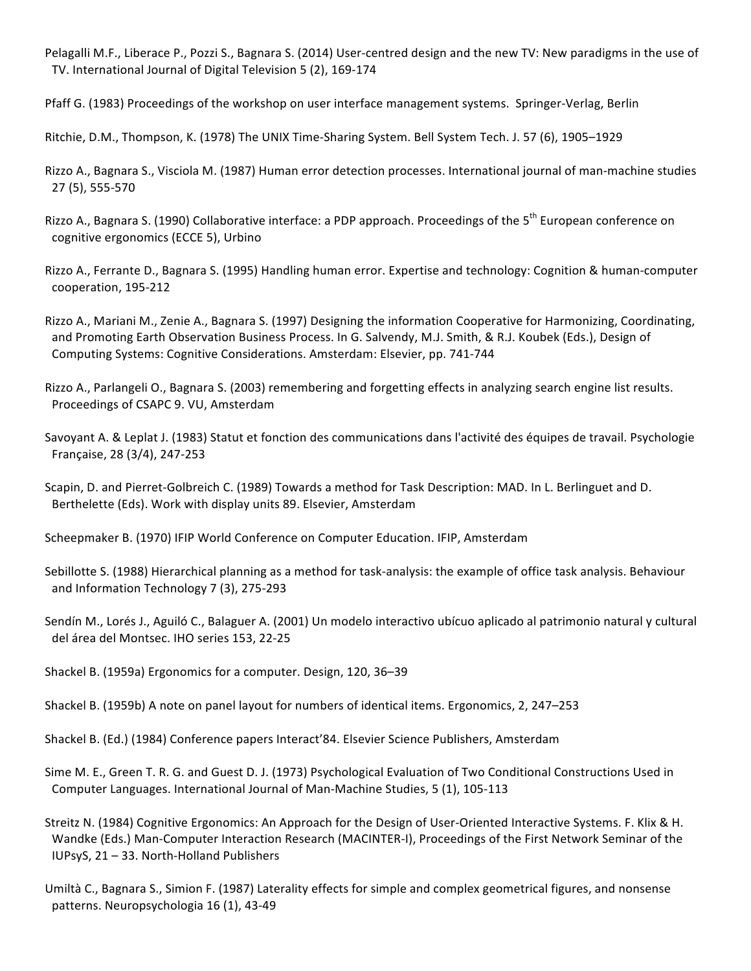Pelagalli M.F., Liberace P., Pozzi S., Bagnara S. (2014) User-centred design and the new TV: New paradigms in the use of TV. International Journal of Digital Television 5 (2), 169-174

Pfaff G. (1983) Proceedings of the workshop on user interface management systems. Springer-Verlag, Berlin

Ritchie, D.M., Thompson, K. (1978) The UNIX Time-Sharing System. Bell System Tech. J. 57 (6), 1905–1929

Rizzo A., Bagnara S., Visciola M. (1987) Human error detection processes. International journal of man-machine studies 27 (5), 555-570

Rizzo A., Bagnara S. (1990) Collaborative interface: a PDP approach. Proceedings of the 5<sup>th</sup> European conference on cognitive ergonomics (ECCE 5), Urbino

Rizzo A., Ferrante D., Bagnara S. (1995) Handling human error. Expertise and technology: Cognition & human-computer cooperation, 195-212

Rizzo A., Mariani M., Zenie A., Bagnara S. (1997) Designing the information Cooperative for Harmonizing, Coordinating, and Promoting Earth Observation Business Process. In G. Salvendy, M.J. Smith, & R.J. Koubek (Eds.), Design of Computing Systems: Cognitive Considerations. Amsterdam: Elsevier, pp. 741-744

Rizzo A., Parlangeli O., Bagnara S. (2003) remembering and forgetting effects in analyzing search engine list results. Proceedings of CSAPC 9. VU, Amsterdam

Savoyant A. & Leplat J. (1983) Statut et fonction des communications dans l'activité des équipes de travail. Psychologie Française, 28 (3/4), 247-253

Scapin, D. and Pierret-Golbreich C. (1989) Towards a method for Task Description: MAD. In L. Berlinguet and D. Berthelette (Eds). Work with display units 89. Elsevier, Amsterdam

Scheepmaker B. (1970) IFIP World Conference on Computer Education. IFIP, Amsterdam

Sebillotte S. (1988) Hierarchical planning as a method for task-analysis: the example of office task analysis. Behaviour and Information Technology 7 (3), 275-293

Sendín M., Lorés J., Aguiló C., Balaguer A. (2001) Un modelo interactivo ubícuo aplicado al patrimonio natural y cultural del área del Montsec. IHO series 153, 22-25

Shackel B. (1959a) Ergonomics for a computer. Design, 120, 36-39

Shackel B. (1959b) A note on panel layout for numbers of identical items. Ergonomics, 2, 247–253

Shackel B. (Ed.) (1984) Conference papers Interact'84. Elsevier Science Publishers, Amsterdam

Sime M. E., Green T. R. G. and Guest D. J. (1973) Psychological Evaluation of Two Conditional Constructions Used in Computer Languages. International Journal of Man-Machine Studies, 5 (1), 105-113

Streitz N. (1984) Cognitive Ergonomics: An Approach for the Design of User-Oriented Interactive Systems. F. Klix & H. Wandke (Eds.) Man-Computer Interaction Research (MACINTER-I), Proceedings of the First Network Seminar of the IUPsyS, 21 - 33. North-Holland Publishers

Umiltà C., Bagnara S., Simion F. (1987) Laterality effects for simple and complex geometrical figures, and nonsense patterns. Neuropsychologia 16 (1), 43-49